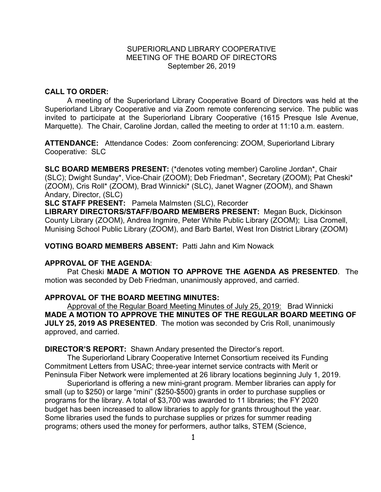### SUPERIORLAND LIBRARY COOPERATIVE MEETING OF THE BOARD OF DIRECTORS September 26, 2019

#### **CALL TO ORDER:**

A meeting of the Superiorland Library Cooperative Board of Directors was held at the Superiorland Library Cooperative and via Zoom remote conferencing service. The public was invited to participate at the Superiorland Library Cooperative (1615 Presque Isle Avenue, Marquette). The Chair, Caroline Jordan, called the meeting to order at 11:10 a.m. eastern.

**ATTENDANCE:** Attendance Codes: Zoom conferencing: ZOOM, Superiorland Library Cooperative: SLC

**SLC BOARD MEMBERS PRESENT:** (\*denotes voting member) Caroline Jordan\*, Chair (SLC); Dwight Sunday\*, Vice-Chair (ZOOM); Deb Friedman\*, Secretary (ZOOM); Pat Cheski\* (ZOOM), Cris Roll\* (ZOOM), Brad Winnicki\* (SLC), Janet Wagner (ZOOM), and Shawn Andary, Director, (SLC)

**SLC STAFF PRESENT:** Pamela Malmsten (SLC), Recorder

**LIBRARY DIRECTORS/STAFF/BOARD MEMBERS PRESENT:** Megan Buck, Dickinson County Library (ZOOM), Andrea Ingmire, Peter White Public Library (ZOOM); Lisa Cromell, Munising School Public Library (ZOOM), and Barb Bartel, West Iron District Library (ZOOM)

**VOTING BOARD MEMBERS ABSENT:** Patti Jahn and Kim Nowack

### **APPROVAL OF THE AGENDA**:

Pat Cheski **MADE A MOTION TO APPROVE THE AGENDA AS PRESENTED**. The motion was seconded by Deb Friedman, unanimously approved, and carried.

#### **APPROVAL OF THE BOARD MEETING MINUTES:**

Approval of the Regular Board Meeting Minutes of July 25, 2019: Brad Winnicki **MADE A MOTION TO APPROVE THE MINUTES OF THE REGULAR BOARD MEETING OF JULY 25, 2019 AS PRESENTED**.The motion was seconded by Cris Roll, unanimously approved, and carried.

**DIRECTOR'S REPORT:** Shawn Andary presented the Director's report.

The Superiorland Library Cooperative Internet Consortium received its Funding Commitment Letters from USAC; three-year internet service contracts with Merit or Peninsula Fiber Network were implemented at 26 library locations beginning July 1, 2019.

Superiorland is offering a new mini-grant program. Member libraries can apply for small (up to \$250) or large "mini" (\$250-\$500) grants in order to purchase supplies or programs for the library. A total of \$3,700 was awarded to 11 libraries; the FY 2020 budget has been increased to allow libraries to apply for grants throughout the year. Some libraries used the funds to purchase supplies or prizes for summer reading programs; others used the money for performers, author talks, STEM (Science,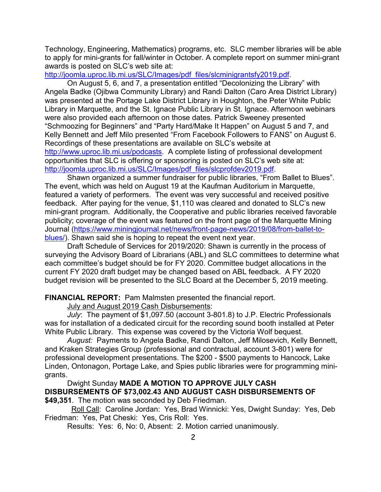Technology, Engineering, Mathematics) programs, etc. SLC member libraries will be able to apply for mini-grants for fall/winter in October. A complete report on summer mini-grant awards is posted on SLC's web site at:

[http://joomla.uproc.lib.mi.us/SLC/Images/pdf\\_files/slcminigrantsfy2019.pdf.](http://joomla.uproc.lib.mi.us/SLC/Images/pdf_files/slcminigrantsfy2019.pdf)

On August 5, 6, and 7, a presentation entitled "Decolonizing the Library" with Angela Badke (Ojibwa Community Library) and Randi Dalton (Caro Area District Library) was presented at the Portage Lake District Library in Houghton, the Peter White Public Library in Marquette, and the St. Ignace Public Library in St. Ignace. Afternoon webinars were also provided each afternoon on those dates. Patrick Sweeney presented "Schmoozing for Beginners" and "Party Hard/Make It Happen" on August 5 and 7, and Kelly Bennett and Jeff Milo presented "From Facebook Followers to FANS" on August 6. Recordings of these presentations are available on SLC's website at [http://www.uproc.lib.mi.us/podcasts.](http://www.uproc.lib.mi.us/podcasts) A complete listing of professional development opportunities that SLC is offering or sponsoring is posted on SLC's web site at: [http://joomla.uproc.lib.mi.us/SLC/Images/pdf\\_files/slcprofdev2019.pdf.](http://joomla.uproc.lib.mi.us/SLC/Images/pdf_files/slcprofdev2019.pdf)

Shawn organized a summer fundraiser for public libraries, "From Ballet to Blues". The event, which was held on August 19 at the Kaufman Auditorium in Marquette, featured a variety of performers. The event was very successful and received positive feedback. After paying for the venue, \$1,110 was cleared and donated to SLC's new mini-grant program. Additionally, the Cooperative and public libraries received favorable publicity; coverage of the event was featured on the front page of the Marquette Mining Journal [\(https://www.miningjournal.net/news/front-page-news/2019/08/from-ballet-to](https://www.miningjournal.net/news/front-page-news/2019/08/from-ballet-to-blues/)[blues/\)](https://www.miningjournal.net/news/front-page-news/2019/08/from-ballet-to-blues/). Shawn said she is hoping to repeat the event next year.

Draft Schedule of Services for 2019/2020: Shawn is currently in the process of surveying the Advisory Board of Librarians (ABL) and SLC committees to determine what each committee's budget should be for FY 2020. Committee budget allocations in the current FY 2020 draft budget may be changed based on ABL feedback. A FY 2020 budget revision will be presented to the SLC Board at the December 5, 2019 meeting.

**FINANCIAL REPORT:** Pam Malmsten presented the financial report.

July and August 2019 Cash Disbursements:

*July*: The payment of \$1,097.50 (account 3-801.8) to J.P. Electric Professionals was for installation of a dedicated circuit for the recording sound booth installed at Peter White Public Library. This expense was covered by the Victoria Wolf bequest.

*August:* Payments to Angela Badke, Randi Dalton, Jeff Milosevich, Kelly Bennett, and Kraken Strategies Group (professional and contractual, account 3-801) were for professional development presentations. The \$200 - \$500 payments to Hancock, Lake Linden, Ontonagon, Portage Lake, and Spies public libraries were for programming minigrants.

Dwight Sunday **MADE A MOTION TO APPROVE JULY CASH DISBURSEMENTS OF \$73,002.43 AND AUGUST CASH DISBURSEMENTS OF \$49,351**. The motion was seconded by Deb Friedman.

 Roll Call: Caroline Jordan: Yes, Brad Winnicki: Yes, Dwight Sunday: Yes, Deb Friedman: Yes, Pat Cheski: Yes, Cris Roll: Yes.

Results: Yes: 6, No: 0, Absent: 2. Motion carried unanimously.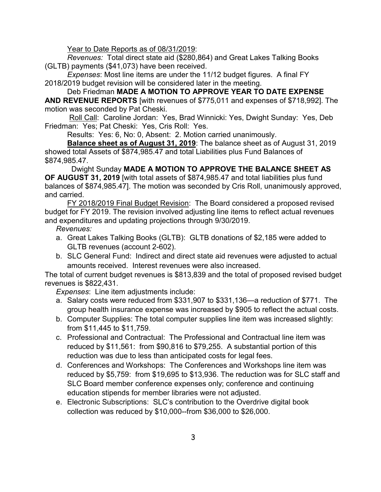Year to Date Reports as of 08/31/2019:

*Revenues:* Total direct state aid (\$280,864) and Great Lakes Talking Books (GLTB) payments (\$41,073) have been received.

*Expenses*: Most line items are under the 11/12 budget figures. A final FY 2018/2019 budget revision will be considered later in the meeting.

Deb Friedman **MADE A MOTION TO APPROVE YEAR TO DATE EXPENSE AND REVENUE REPORTS** [with revenues of \$775,011 and expenses of \$718,992]. The motion was seconded by Pat Cheski.

Roll Call: Caroline Jordan: Yes, Brad Winnicki: Yes, Dwight Sunday: Yes, Deb Friedman: Yes; Pat Cheski: Yes, Cris Roll: Yes.

Results: Yes: 6, No: 0, Absent: 2. Motion carried unanimously.

**Balance sheet as of August 31, 2019**: The balance sheet as of August 31, 2019 showed total Assets of \$874,985.47 and total Liabilities plus Fund Balances of \$874,985.47.

 Dwight Sunday **MADE A MOTION TO APPROVE THE BALANCE SHEET AS OF AUGUST 31, 2019** [with total assets of \$874,985.47 and total liabilities plus fund balances of \$874,985.47]. The motion was seconded by Cris Roll, unanimously approved, and carried.

FY 2018/2019 Final Budget Revision: The Board considered a proposed revised budget for FY 2019. The revision involved adjusting line items to reflect actual revenues and expenditures and updating projections through 9/30/2019.

### *Revenues:*

- a. Great Lakes Talking Books (GLTB): GLTB donations of \$2,185 were added to GLTB revenues (account 2-602).
- b. SLC General Fund: Indirect and direct state aid revenues were adjusted to actual amounts received. Interest revenues were also increased.

The total of current budget revenues is \$813,839 and the total of proposed revised budget revenues is \$822,431.

*Expenses*: Line item adjustments include:

- a. Salary costs were reduced from \$331,907 to \$331,136—a reduction of \$771. The group health insurance expense was increased by \$905 to reflect the actual costs.
- b. Computer Supplies: The total computer supplies line item was increased slightly: from \$11,445 to \$11,759.
- c. Professional and Contractual: The Professional and Contractual line item was reduced by \$11,561: from \$90,816 to \$79,255. A substantial portion of this reduction was due to less than anticipated costs for legal fees.
- d. Conferences and Workshops: The Conferences and Workshops line item was reduced by \$5,759: from \$19,695 to \$13,936. The reduction was for SLC staff and SLC Board member conference expenses only; conference and continuing education stipends for member libraries were not adjusted.
- e. Electronic Subscriptions: SLC's contribution to the Overdrive digital book collection was reduced by \$10,000--from \$36,000 to \$26,000.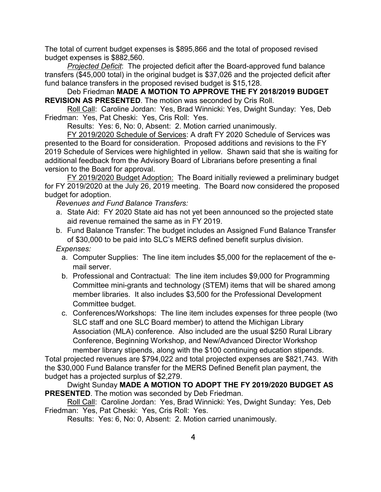The total of current budget expenses is \$895,866 and the total of proposed revised budget expenses is \$882,560.

*Projected Deficit*: The projected deficit after the Board-approved fund balance transfers (\$45,000 total) in the original budget is \$37,026 and the projected deficit after fund balance transfers in the proposed revised budget is \$15,128.

Deb Friedman **MADE A MOTION TO APPROVE THE FY 2018/2019 BUDGET REVISION AS PRESENTED**. The motion was seconded by Cris Roll.

Roll Call: Caroline Jordan: Yes, Brad Winnicki: Yes, Dwight Sunday: Yes, Deb Friedman: Yes, Pat Cheski: Yes, Cris Roll: Yes.

Results: Yes: 6, No: 0, Absent: 2. Motion carried unanimously.

FY 2019/2020 Schedule of Services: A draft FY 2020 Schedule of Services was presented to the Board for consideration. Proposed additions and revisions to the FY 2019 Schedule of Services were highlighted in yellow. Shawn said that she is waiting for additional feedback from the Advisory Board of Librarians before presenting a final version to the Board for approval.

FY 2019/2020 Budget Adoption: The Board initially reviewed a preliminary budget for FY 2019/2020 at the July 26, 2019 meeting. The Board now considered the proposed budget for adoption.

*Revenues and Fund Balance Transfers:* 

- a. State Aid: FY 2020 State aid has not yet been announced so the projected state aid revenue remained the same as in FY 2019.
- b. Fund Balance Transfer: The budget includes an Assigned Fund Balance Transfer of \$30,000 to be paid into SLC's MERS defined benefit surplus division.

*Expenses:* 

- a. Computer Supplies: The line item includes \$5,000 for the replacement of the email server.
- b. Professional and Contractual: The line item includes \$9,000 for Programming Committee mini-grants and technology (STEM) items that will be shared among member libraries. It also includes \$3,500 for the Professional Development Committee budget.
- c. Conferences/Workshops: The line item includes expenses for three people (two SLC staff and one SLC Board member) to attend the Michigan Library Association (MLA) conference. Also included are the usual \$250 Rural Library Conference, Beginning Workshop, and New/Advanced Director Workshop member library stipends, along with the \$100 continuing education stipends.

Total projected revenues are \$794,022 and total projected expenses are \$821,743. With the \$30,000 Fund Balance transfer for the MERS Defined Benefit plan payment, the budget has a projected surplus of \$2,279.

Dwight Sunday **MADE A MOTION TO ADOPT THE FY 2019/2020 BUDGET AS PRESENTED**. The motion was seconded by Deb Friedman.

Roll Call: Caroline Jordan: Yes, Brad Winnicki: Yes, Dwight Sunday: Yes, Deb Friedman: Yes, Pat Cheski: Yes, Cris Roll: Yes.

Results: Yes: 6, No: 0, Absent: 2. Motion carried unanimously.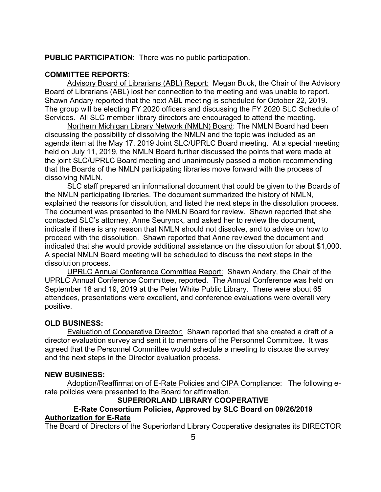**PUBLIC PARTICIPATION**: There was no public participation.

### **COMMITTEE REPORTS**:

Advisory Board of Librarians (ABL) Report: Megan Buck, the Chair of the Advisory Board of Librarians (ABL) lost her connection to the meeting and was unable to report. Shawn Andary reported that the next ABL meeting is scheduled for October 22, 2019. The group will be electing FY 2020 officers and discussing the FY 2020 SLC Schedule of Services. All SLC member library directors are encouraged to attend the meeting.

Northern Michigan Library Network (NMLN) Board: The NMLN Board had been discussing the possibility of dissolving the NMLN and the topic was included as an agenda item at the May 17, 2019 Joint SLC/UPRLC Board meeting. At a special meeting held on July 11, 2019, the NMLN Board further discussed the points that were made at the joint SLC/UPRLC Board meeting and unanimously passed a motion recommending that the Boards of the NMLN participating libraries move forward with the process of dissolving NMLN.

SLC staff prepared an informational document that could be given to the Boards of the NMLN participating libraries. The document summarized the history of NMLN, explained the reasons for dissolution, and listed the next steps in the dissolution process. The document was presented to the NMLN Board for review. Shawn reported that she contacted SLC's attorney, Anne Seurynck, and asked her to review the document, indicate if there is any reason that NMLN should not dissolve, and to advise on how to proceed with the dissolution. Shawn reported that Anne reviewed the document and indicated that she would provide additional assistance on the dissolution for about \$1,000. A special NMLN Board meeting will be scheduled to discuss the next steps in the dissolution process.

UPRLC Annual Conference Committee Report: Shawn Andary, the Chair of the UPRLC Annual Conference Committee, reported. The Annual Conference was held on September 18 and 19, 2019 at the Peter White Public Library. There were about 65 attendees, presentations were excellent, and conference evaluations were overall very positive.

#### **OLD BUSINESS:**

Evaluation of Cooperative Director: Shawn reported that she created a draft of a director evaluation survey and sent it to members of the Personnel Committee. It was agreed that the Personnel Committee would schedule a meeting to discuss the survey and the next steps in the Director evaluation process.

#### **NEW BUSINESS:**

Adoption/Reaffirmation of E-Rate Policies and CIPA Compliance: The following erate policies were presented to the Board for affirmation.

#### **SUPERIORLAND LIBRARY COOPERATIVE**

#### **E-Rate Consortium Policies, Approved by SLC Board on 09/26/2019 Authorization for E-Rate**

The Board of Directors of the Superiorland Library Cooperative designates its DIRECTOR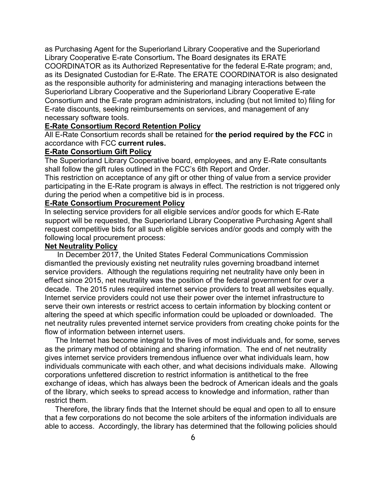as Purchasing Agent for the Superiorland Library Cooperative and the Superiorland Library Cooperative E-rate Consortium**.** The Board designates its ERATE COORDINATOR as its Authorized Representative for the federal E-Rate program; and, as its Designated Custodian for E-Rate. The ERATE COORDINATOR is also designated as the responsible authority for administering and managing interactions between the Superiorland Library Cooperative and the Superiorland Library Cooperative E-rate Consortium and the E-rate program administrators, including (but not limited to) filing for E-rate discounts, seeking reimbursements on services, and management of any necessary software tools.

#### **E-Rate Consortium Record Retention Policy**

All E-Rate Consortium records shall be retained for **the period required by the FCC** in accordance with FCC **current rules.** 

#### **E-Rate Consortium Gift Policy**

The Superiorland Library Cooperative board, employees, and any E-Rate consultants shall follow the gift rules outlined in the FCC's 6th Report and Order.

This restriction on acceptance of any gift or other thing of value from a service provider participating in the E-Rate program is always in effect. The restriction is not triggered only during the period when a competitive bid is in process.

### **E-Rate Consortium Procurement Policy**

In selecting service providers for all eligible services and/or goods for which E-Rate support will be requested, the Superiorland Library Cooperative Purchasing Agent shall request competitive bids for all such eligible services and/or goods and comply with the following local procurement process:

#### **Net Neutrality Policy**

 In December 2017, the United States Federal Communications Commission dismantled the previously existing net neutrality rules governing broadband internet service providers. Although the regulations requiring net neutrality have only been in effect since 2015, net neutrality was the position of the federal government for over a decade. The 2015 rules required internet service providers to treat all websites equally. Internet service providers could not use their power over the internet infrastructure to serve their own interests or restrict access to certain information by blocking content or altering the speed at which specific information could be uploaded or downloaded. The net neutrality rules prevented internet service providers from creating choke points for the flow of information between internet users.

 The Internet has become integral to the lives of most individuals and, for some, serves as the primary method of obtaining and sharing information. The end of net neutrality gives internet service providers tremendous influence over what individuals learn, how individuals communicate with each other, and what decisions individuals make. Allowing corporations unfettered discretion to restrict information is antithetical to the free exchange of ideas, which has always been the bedrock of American ideals and the goals of the library, which seeks to spread access to knowledge and information, rather than restrict them.

 Therefore, the library finds that the Internet should be equal and open to all to ensure that a few corporations do not become the sole arbiters of the information individuals are able to access. Accordingly, the library has determined that the following policies should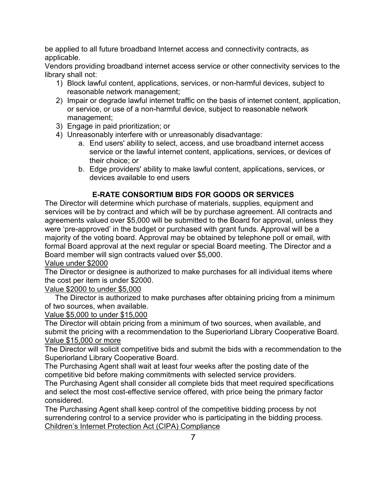be applied to all future broadband Internet access and connectivity contracts, as applicable.

Vendors providing broadband internet access service or other connectivity services to the library shall not:

- 1) Block lawful content, applications, services, or non-harmful devices, subject to reasonable network management;
- 2) Impair or degrade lawful internet traffic on the basis of internet content, application, or service, or use of a non-harmful device, subject to reasonable network management;
- 3) Engage in paid prioritization; or
- 4) Unreasonably interfere with or unreasonably disadvantage:
	- a. End users' ability to select, access, and use broadband internet access service or the lawful internet content, applications, services, or devices of their choice; or
	- b. Edge providers' ability to make lawful content, applications, services, or devices available to end users

# **E-RATE CONSORTIUM BIDS FOR GOODS OR SERVICES**

The Director will determine which purchase of materials, supplies, equipment and services will be by contract and which will be by purchase agreement. All contracts and agreements valued over \$5,000 will be submitted to the Board for approval, unless they were 'pre-approved' in the budget or purchased with grant funds. Approval will be a majority of the voting board. Approval may be obtained by telephone poll or email, with formal Board approval at the next regular or special Board meeting. The Director and a Board member will sign contracts valued over \$5,000.

# Value under \$2000

The Director or designee is authorized to make purchases for all individual items where the cost per item is under \$2000.

# Value \$2000 to under \$5,000

 The Director is authorized to make purchases after obtaining pricing from a minimum of two sources, when available.

# Value \$5,000 to under \$15,000

The Director will obtain pricing from a minimum of two sources, when available, and submit the pricing with a recommendation to the Superiorland Library Cooperative Board. Value \$15,000 or more

The Director will solicit competitive bids and submit the bids with a recommendation to the Superiorland Library Cooperative Board.

The Purchasing Agent shall wait at least four weeks after the posting date of the competitive bid before making commitments with selected service providers.

The Purchasing Agent shall consider all complete bids that meet required specifications and select the most cost-effective service offered, with price being the primary factor considered.

The Purchasing Agent shall keep control of the competitive bidding process by not surrendering control to a service provider who is participating in the bidding process. Children's Internet Protection Act (CIPA) Compliance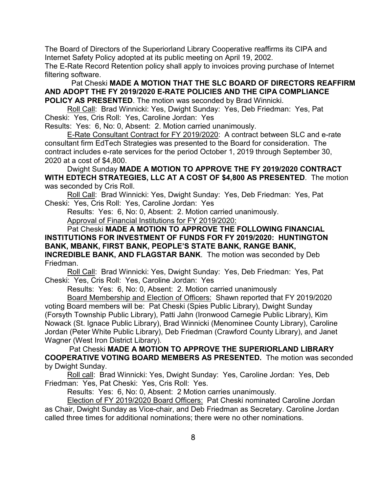The Board of Directors of the Superiorland Library Cooperative reaffirms its CIPA and Internet Safety Policy adopted at its public meeting on April 19, 2002.

The E-Rate Record Retention policy shall apply to invoices proving purchase of Internet filtering software.

Pat Cheski **MADE A MOTION THAT THE SLC BOARD OF DIRECTORS REAFFIRM AND ADOPT THE FY 2019/2020 E-RATE POLICIES AND THE CIPA COMPLIANCE POLICY AS PRESENTED**. The motion was seconded by Brad Winnicki.

Roll Call: Brad Winnicki: Yes, Dwight Sunday: Yes, Deb Friedman: Yes, Pat Cheski: Yes, Cris Roll: Yes, Caroline Jordan: Yes

Results: Yes: 6, No: 0, Absent: 2. Motion carried unanimously.

E-Rate Consultant Contract for FY 2019/2020: A contract between SLC and e-rate consultant firm EdTech Strategies was presented to the Board for consideration. The contract includes e-rate services for the period October 1, 2019 through September 30, 2020 at a cost of \$4,800.

Dwight Sunday **MADE A MOTION TO APPROVE THE FY 2019/2020 CONTRACT WITH EDTECH STRATEGIES, LLC AT A COST OF \$4,800 AS PRESENTED**.The motion was seconded by Cris Roll.

Roll Call: Brad Winnicki: Yes, Dwight Sunday: Yes, Deb Friedman: Yes, Pat Cheski: Yes, Cris Roll: Yes, Caroline Jordan: Yes

Results: Yes: 6, No: 0, Absent: 2. Motion carried unanimously.

Approval of Financial Institutions for FY 2019/2020:

Pat Cheski **MADE A MOTION TO APPROVE THE FOLLOWING FINANCIAL INSTITUTIONS FOR INVESTMENT OF FUNDS FOR FY 2019/2020: HUNTINGTON BANK, MBANK, FIRST BANK, PEOPLE'S STATE BANK, RANGE BANK, INCREDIBLE BANK, AND FLAGSTAR BANK**. The motion was seconded by Deb Friedman.

Roll Call: Brad Winnicki: Yes, Dwight Sunday: Yes, Deb Friedman: Yes, Pat Cheski: Yes, Cris Roll: Yes, Caroline Jordan: Yes

Results: Yes: 6, No: 0, Absent: 2. Motion carried unanimously

Board Membership and Election of Officers: Shawn reported that FY 2019/2020 voting Board members will be: Pat Cheski (Spies Public Library), Dwight Sunday (Forsyth Township Public Library), Patti Jahn (Ironwood Carnegie Public Library), Kim Nowack (St. Ignace Public Library), Brad Winnicki (Menominee County Library), Caroline Jordan (Peter White Public Library), Deb Friedman (Crawford County Library), and Janet Wagner (West Iron District Library).

Pat Cheski **MADE A MOTION TO APPROVE THE SUPERIORLAND LIBRARY COOPERATIVE VOTING BOARD MEMBERS AS PRESENTED.** The motion was seconded by Dwight Sunday.

Roll call: Brad Winnicki: Yes, Dwight Sunday: Yes, Caroline Jordan: Yes, Deb Friedman: Yes, Pat Cheski: Yes, Cris Roll: Yes.

Results: Yes: 6, No: 0, Absent: 2 Motion carries unanimously.

Election of FY 2019/2020 Board Officers: Pat Cheski nominated Caroline Jordan as Chair, Dwight Sunday as Vice-chair, and Deb Friedman as Secretary. Caroline Jordan called three times for additional nominations; there were no other nominations.